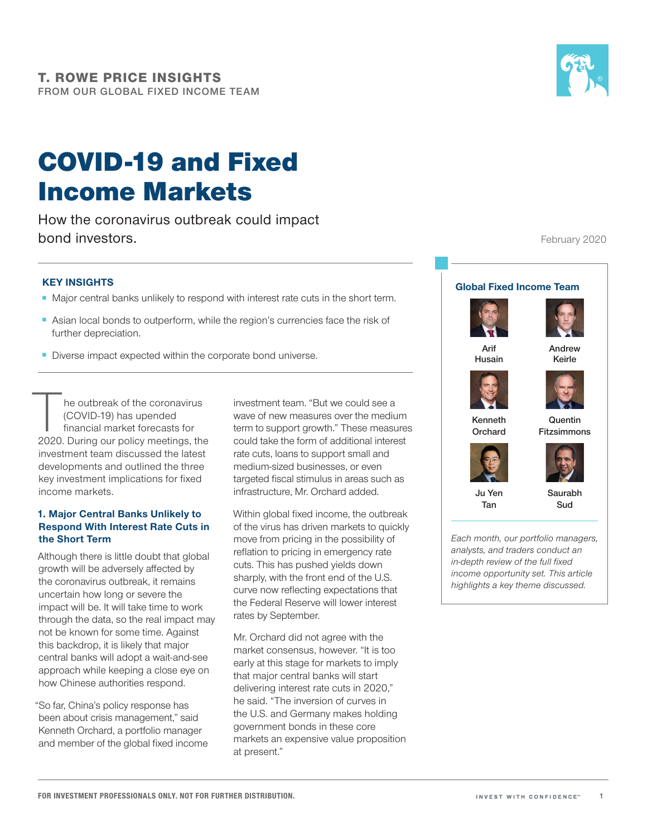# COVID‑19 and Fixed Income Markets

How the coronavirus outbreak could impact bond investors.

## **KEY INSIGHTS**

- Major central banks unlikely to respond with interest rate cuts in the short term.
- Asian local bonds to outperform, while the region's currencies face the risk of further depreciation.
- Diverse impact expected within the corporate bond universe.

The outbreak of the coronavirus<br>
(COVID-19) has upended<br>
financial market forecasts for<br>
2020. During our policy meetings, the (COVID-19) has upended financial market forecasts for investment team discussed the latest developments and outlined the three key investment implications for fixed income markets.

#### **1. Major Central Banks Unlikely to Respond With Interest Rate Cuts in the Short Term**

Although there is little doubt that global growth will be adversely affected by the coronavirus outbreak, it remains uncertain how long or severe the impact will be. It will take time to work through the data, so the real impact may not be known for some time. Against this backdrop, it is likely that major central banks will adopt a wait-and-see approach while keeping a close eye on how Chinese authorities respond.

"So far, China's policy response has been about crisis management," said Kenneth Orchard, a portfolio manager and member of the global fixed income investment team. "But we could see a wave of new measures over the medium term to support growth." These measures could take the form of additional interest rate cuts, loans to support small and medium-sized businesses, or even targeted fiscal stimulus in areas such as infrastructure, Mr. Orchard added.

Within global fixed income, the outbreak of the virus has driven markets to quickly move from pricing in the possibility of reflation to pricing in emergency rate cuts. This has pushed yields down sharply, with the front end of the U.S. curve now reflecting expectations that the Federal Reserve will lower interest rates by September.

Mr. Orchard did not agree with the market consensus, however. "It is too early at this stage for markets to imply that major central banks will start delivering interest rate cuts in 2020," he said. "The inversion of curves in the U.S. and Germany makes holding government bonds in these core markets an expensive value proposition at present."

February 2020

### **Global Fixed Income Team**





**Arif Husain** **Andrew Keirle**





**Quentin Fitzsimmons**



**Kenneth Orchard**

**Ju Yen Tan**

**Saurabh Sud**

*Each month, our portfolio managers, analysts, and traders conduct an in‑depth review of the full fixed income opportunity set. This article highlights a key theme discussed.*

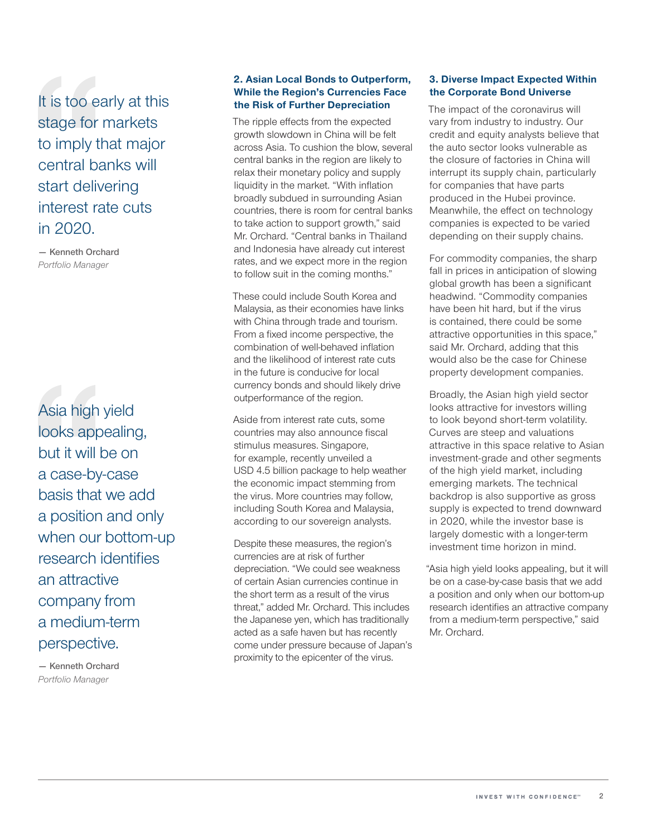It is too early at this stage for markets to imply that major central banks will start delivering interest rate cuts in 2020.

**— Kenneth Orchard** *Portfolio Manager*

Asia high yield looks appealing, but it will be on a case-by-case basis that we add a position and only when our bottom-up research identifies an attractive company from a medium-term perspective.

**— Kenneth Orchard** *Portfolio Manager*

#### **2. Asian Local Bonds to Outperform, While the Region's Currencies Face the Risk of Further Depreciation**

The ripple effects from the expected growth slowdown in China will be felt across Asia. To cushion the blow, several central banks in the region are likely to relax their monetary policy and supply liquidity in the market. "With inflation broadly subdued in surrounding Asian countries, there is room for central banks to take action to support growth." said Mr. Orchard. "Central banks in Thailand and Indonesia have already cut interest rates, and we expect more in the region to follow suit in the coming months."

These could include South Korea and Malaysia, as their economies have links with China through trade and tourism. From a fixed income perspective, the combination of well-behaved inflation and the likelihood of interest rate cuts in the future is conducive for local currency bonds and should likely drive outperformance of the region.

Aside from interest rate cuts, some countries may also announce fiscal stimulus measures. Singapore, for example, recently unveiled a USD 4.5 billion package to help weather the economic impact stemming from the virus. More countries may follow, including South Korea and Malaysia, according to our sovereign analysts.

Despite these measures, the region's currencies are at risk of further depreciation. "We could see weakness of certain Asian currencies continue in the short term as a result of the virus threat," added Mr. Orchard. This includes the Japanese yen, which has traditionally acted as a safe haven but has recently come under pressure because of Japan's proximity to the epicenter of the virus.

#### **3. Diverse Impact Expected Within the Corporate Bond Universe**

The impact of the coronavirus will vary from industry to industry. Our credit and equity analysts believe that the auto sector looks vulnerable as the closure of factories in China will interrupt its supply chain, particularly for companies that have parts produced in the Hubei province. Meanwhile, the effect on technology companies is expected to be varied depending on their supply chains.

For commodity companies, the sharp fall in prices in anticipation of slowing global growth has been a significant headwind. "Commodity companies have been hit hard, but if the virus is contained, there could be some attractive opportunities in this space," said Mr. Orchard, adding that this would also be the case for Chinese property development companies.

Broadly, the Asian high yield sector looks attractive for investors willing to look beyond short-term volatility. Curves are steep and valuations attractive in this space relative to Asian investment-grade and other segments of the high yield market, including emerging markets. The technical backdrop is also supportive as gross supply is expected to trend downward in 2020, while the investor base is largely domestic with a longer-term investment time horizon in mind.

"Asia high yield looks appealing, but it will be on a case-by-case basis that we add a position and only when our bottom-up research identifies an attractive company from a medium-term perspective," said Mr. Orchard.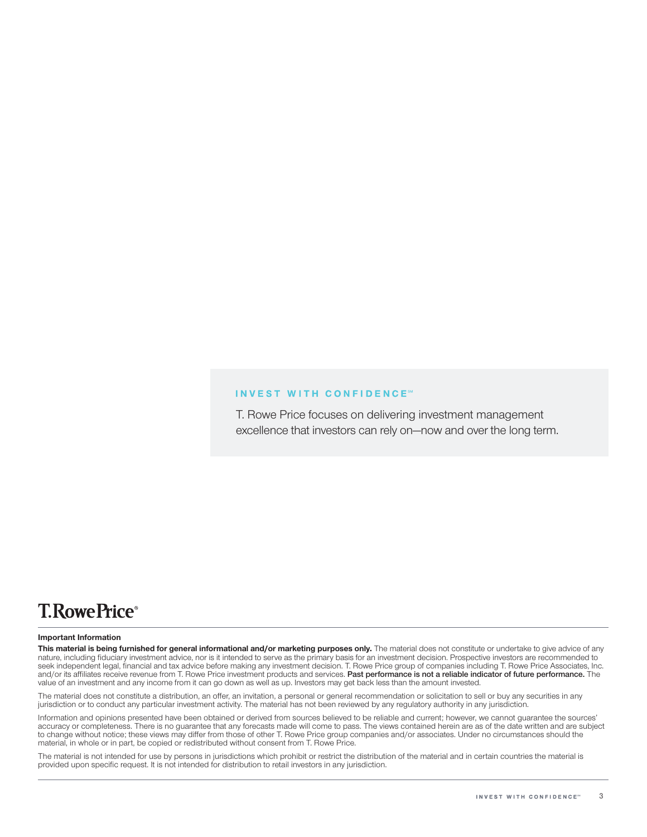#### **INVEST WITH CONFIDENCE®**

T. Rowe Price focuses on delivering investment management excellence that investors can rely on—now and over the long term.

# **T.RowePrice**®

#### **Important Information**

This material is being furnished for general informational and/or marketing purposes only. The material does not constitute or undertake to give advice of any nature, including fiduciary investment advice, nor is it intended to serve as the primary basis for an investment decision. Prospective investors are recommended to seek independent legal, financial and tax advice before making any investment decision. T. Rowe Price group of companies including T. Rowe Price Associates, Inc. and/or its affiliates receive revenue from T. Rowe Price investment products and services. **Past performance is not a reliable indicator of future performance.** The value of an investment and any income from it can go down as well as up. Investors may get back less than the amount invested.

The material does not constitute a distribution, an offer, an invitation, a personal or general recommendation or solicitation to sell or buy any securities in any jurisdiction or to conduct any particular investment activity. The material has not been reviewed by any regulatory authority in any jurisdiction.

Information and opinions presented have been obtained or derived from sources believed to be reliable and current; however, we cannot guarantee the sources' accuracy or completeness. There is no guarantee that any forecasts made will come to pass. The views contained herein are as of the date written and are subject to change without notice; these views may differ from those of other T. Rowe Price group companies and/or associates. Under no circumstances should the material, in whole or in part, be copied or redistributed without consent from T. Rowe Price.

The material is not intended for use by persons in jurisdictions which prohibit or restrict the distribution of the material and in certain countries the material is provided upon specific request. It is not intended for distribution to retail investors in any jurisdiction.